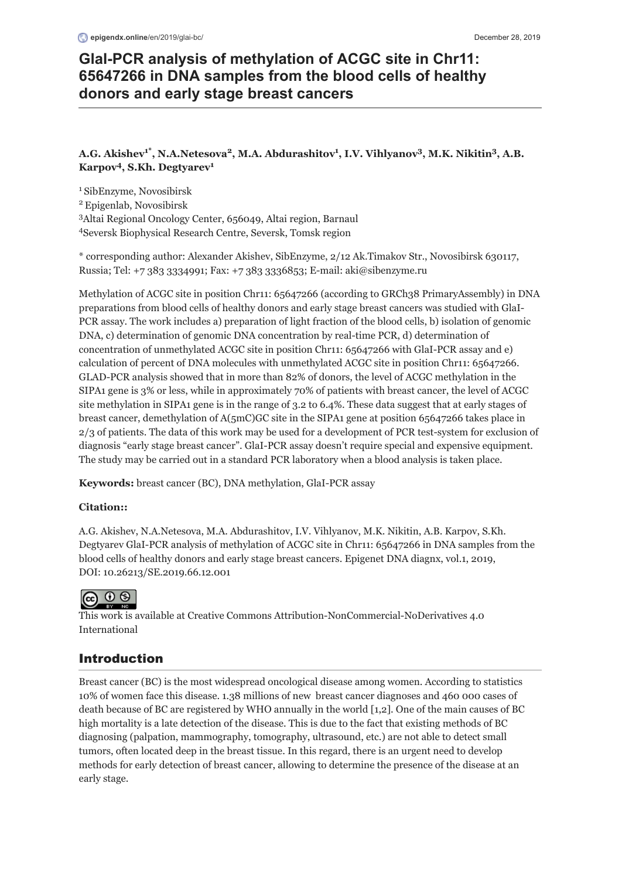# **GlaI-PCR analysis of methylation of ACGC site in Chr11: 65647266 in DNA samples from the blood cells of healthy donors and early stage breast cancers**

# **A.G. Akishev<sup>1\*</sup>, N.A.Netesova<sup>2</sup>, M.A. Abdurashitov<sup>1</sup>, I.V. Vihlyanov<sup>3</sup>, M.K. Nikitin<sup>3</sup>, A.B.**  $Karpov<sup>4</sup>, S.Kh. Degtyarev<sup>1</sup>$  $Karpov<sup>4</sup>, S.Kh. Degtyarev<sup>1</sup>$  $Karpov<sup>4</sup>, S.Kh. Degtyarev<sup>1</sup>$

<sup>1</sup>SibEnzyme, Novosibirsk

<sup>2</sup> Epigenlab, Novosibirsk

Altai Regional Oncology Center, 656049, Altai region, Barnaul 3

Seversk Biophysical Research Centre, Seversk, Tomsk region 4

\* corresponding author: Alexander Akishev, SibEnzyme, 2/12 Ak.Timakov Str., Novosibirsk 630117, Russia; Tel: +7 383 3334991; Fax: +7 383 3336853; E-mail: [aki@sibenzyme.ru](mailto:aki@sibenzyme.ru)

Methylation of ACGC site in position Chr11: 65647266 (according to GRCh38 PrimaryAssembly) in DNA preparations from blood cells of healthy donors and early stage breast cancers was studied with GlaI-PCR assay. The work includes a) preparation of light fraction of the blood cells, b) isolation of genomic DNA, c) determination of genomic DNA concentration by real-time PCR, d) determination of concentration of unmethylated ACGC site in position Chr11: 65647266 with GlaI-PCR assay and e) calculation of percent of DNA molecules with unmethylated ACGC site in position Chr11: 65647266. GLAD-PCR analysis showed that in more than 82% of donors, the level of ACGC methylation in the SIPA1 gene is 3% or less, while in approximately 70% of patients with breast cancer, the level of ACGC site methylation in SIPA1 gene is in the range of 3.2 to 6.4%. These data suggest that at early stages of breast cancer, demethylation of A(5mC)GC site in the SIPA1 gene at position 65647266 takes place in 2/3 of patients. The data of this work may be used for a development of PCR test-system for exclusion of diagnosis "early stage breast cancer". GlaI-PCR assay doesn't require special and expensive equipment. The study may be carried out in a standard PCR laboratory when a blood analysis is taken place.

**Keywords:** breast cancer (BC), DNA methylation, GlaI-PCR assay

## **Citation::**

A.G. Akishev, N.A.Netesova, M.A. Abdurashitov, I.V. Vihlyanov, M.K. Nikitin, A.B. Karpov, S.Kh. Degtyarev GlaI-PCR analysis of methylation of ACGC site in Chr11: 65647266 in DNA samples from the blood cells of healthy donors and early stage breast cancers. Epigenet DNA diagnx, vol.1, 2019, DOI: [10.26213/SE.2019.66.12.001](https://doi.org/10.26213/SE.2019.66.12.001)



[This work is available at Creative Commons Attribution-NonCommercial-NoDerivatives 4.0](https://creativecommons.org/licenses/by-nc-nd/4.0/legalcode) International

# Introduction

Breast cancer (BC) is the most widespread oncological disease among women. According to statistics 10% of women face this disease. 1.38 millions of new breast cancer diagnoses and 460 000 cases of death because of BC are registered by WHO annually in the world [1,2]. One of the main causes of BC high mortality is a late detection of the disease. This is due to the fact that existing methods of BC diagnosing (palpation, mammography, tomography, ultrasound, etc.) are not able to detect small tumors, often located deep in the breast tissue. In this regard, there is an urgent need to develop methods for early detection of breast cancer, allowing to determine the presence of the disease at an early stage.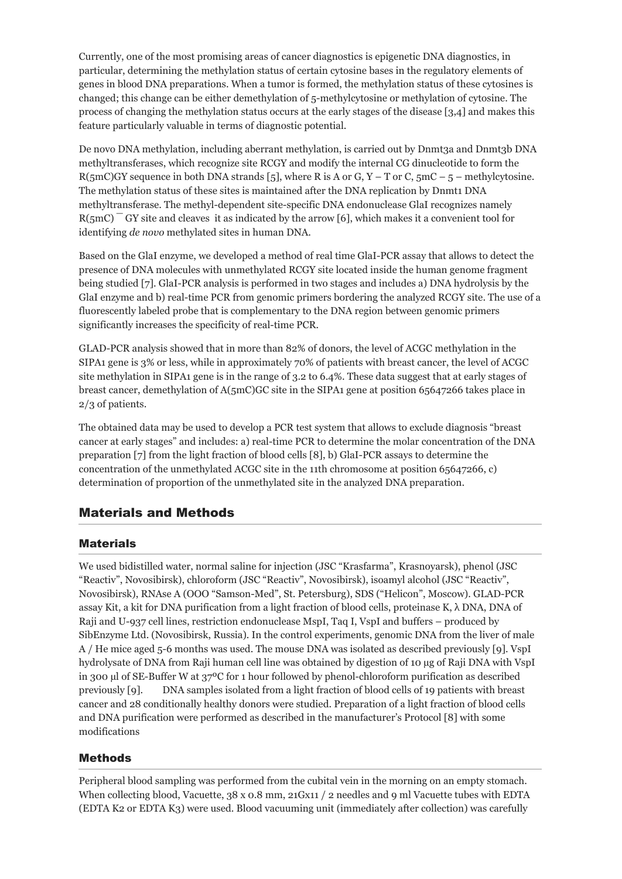Currently, one of the most promising areas of cancer diagnostics is epigenetic DNA diagnostics, in particular, determining the methylation status of certain cytosine bases in the regulatory elements of genes in blood DNA preparations. When a tumor is formed, the methylation status of these cytosines is changed; this change can be either demethylation of 5-methylcytosine or methylation of cytosine. The process of changing the methylation status occurs at the early stages of the disease [3,4] and makes this feature particularly valuable in terms of diagnostic potential.

De novo DNA methylation, including aberrant methylation, is carried out by Dnmt3a and Dnmt3b DNA methyltransferases, which recognize site RCGY and modify the internal CG dinucleotide to form the R(5mC)GY sequence in both DNA strands [5], where R is A or G, Y – T or C,  $5mC - 5$  – methylcytosine. The methylation status of these sites is maintained after the DNA replication by Dnmt1 DNA methyltransferase. The methyl-dependent site-specific DNA endonuclease GlaI recognizes namely  $R(5mC)$ <sup>-</sup> GY site and cleaves it as indicated by the arrow [6], which makes it a convenient tool for identifying *de novo* methylated sites in human DNA.

Based on the GlaI enzyme, we developed a method of real time GlaI-PCR assay that allows to detect the presence of DNA molecules with unmethylated RCGY site located inside the human genome fragment being studied [7]. GlaI-PCR analysis is performed in two stages and includes a) DNA hydrolysis by the GlaI enzyme and b) real-time PCR from genomic primers bordering the analyzed RCGY site. The use of a fluorescently labeled probe that is complementary to the DNA region between genomic primers significantly increases the specificity of real-time PCR.

GLAD-PCR analysis showed that in more than 82% of donors, the level of ACGC methylation in the SIPA1 gene is 3% or less, while in approximately 70% of patients with breast cancer, the level of ACGC site methylation in SIPA1 gene is in the range of 3.2 to 6.4%. These data suggest that at early stages of breast cancer, demethylation of A(5mC)GC site in the SIPA1 gene at position 65647266 takes place in 2/3 of patients.

The obtained data may be used to develop a PCR test system that allows to exclude diagnosis "breast cancer at early stages" and includes: a) real-time PCR to determine the molar concentration of the DNA preparation [7] from the light fraction of blood cells [8], b) GlaI-PCR assays to determine the concentration of the unmethylated ACGC site in the 11th chromosome at position 65647266, c) determination of proportion of the unmethylated site in the analyzed DNA preparation.

# Materials and Methods

## Materials

We used bidistilled water, normal saline for injection (JSC "Krasfarma", Krasnoyarsk), phenol (JSC "Reactiv", Novosibirsk), chloroform (JSC "Reactiv", Novosibirsk), isoamyl alcohol (JSC "Reactiv", Novosibirsk), RNAse A (OOO "Samson-Med", St. Petersburg), SDS ("Helicon", Moscow). GLAD-PCR assay Kit, a kit for DNA purification from a light fraction of blood cells, proteinase K, λ DNA, DNA of Raji and U-937 cell lines, restriction endonuclease MspI, Taq I, VspI and buffers – produced by SibEnzyme Ltd. (Novosibirsk, Russia). In the control experiments, genomic DNA from the liver of male A / He mice aged 5-6 months was used. The mouse DNA was isolated as described previously [9]. VspI hydrolysate of DNA from Raji human cell line was obtained by digestion of 10 µg of Raji DNA with VspI in 300 µl of SE-Buffer W at 37ºC for 1 hour followed by phenol-chloroform purification as described previously [9]. DNA samples isolated from a light fraction of blood cells of 19 patients with breast cancer and 28 conditionally healthy donors were studied. Preparation of a light fraction of blood cells and DNA purification were performed as described in the manufacturer's Protocol [8] with some modifications

## Methods

Peripheral blood sampling was performed from the cubital vein in the morning on an empty stomach. When collecting blood, Vacuette, 38 x 0.8 mm, 21Gx11 / 2 needles and 9 ml Vacuette tubes with EDTA (EDTA K2 or EDTA K3) were used. Blood vacuuming unit (immediately after collection) was carefully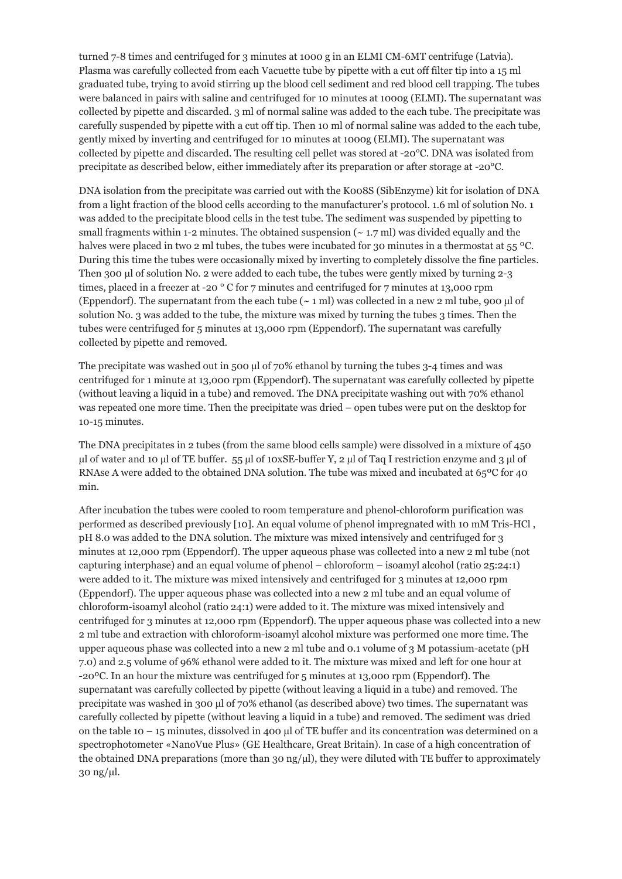turned 7-8 times and centrifuged for 3 minutes at 1000 g in an ELMI CM-6MT centrifuge (Latvia). Plasma was carefully collected from each Vacuette tube by pipette with a cut off filter tip into a 15 ml graduated tube, trying to avoid stirring up the blood cell sediment and red blood cell trapping. The tubes were balanced in pairs with saline and centrifuged for 10 minutes at 1000g (ELMI). The supernatant was collected by pipette and discarded. 3 ml of normal saline was added to the each tube. The precipitate was carefully suspended by pipette with a cut off tip. Then 10 ml of normal saline was added to the each tube, gently mixed by inverting and centrifuged for 10 minutes at 1000g (ELMI). The supernatant was collected by pipette and discarded. The resulting cell pellet was stored at -20°C. DNA was isolated from precipitate as described below, either immediately after its preparation or after storage at -20°C.

DNA isolation from the precipitate was carried out with the K008S (SibEnzyme) kit for isolation of DNA from a light fraction of the blood cells according to the manufacturer's protocol. 1.6 ml of solution No. 1 was added to the precipitate blood cells in the test tube. The sediment was suspended by pipetting to small fragments within 1-2 minutes. The obtained suspension  $({\sim}1.7 \text{ ml})$  was divided equally and the halves were placed in two 2 ml tubes, the tubes were incubated for 30 minutes in a thermostat at 55 °C. During this time the tubes were occasionally mixed by inverting to completely dissolve the fine particles. Then 300 μl of solution No. 2 were added to each tube, the tubes were gently mixed by turning 2-3 times, placed in a freezer at -20  $\degree$  C for 7 minutes and centrifuged for 7 minutes at 13,000 rpm (Eppendorf). The supernatant from the each tube  $({\sim}$  1 ml) was collected in a new 2 ml tube, 900 μl of solution No. 3 was added to the tube, the mixture was mixed by turning the tubes 3 times. Then the tubes were centrifuged for 5 minutes at 13,000 rpm (Eppendorf). The supernatant was carefully collected by pipette and removed.

The precipitate was washed out in 500 µl of 70% ethanol by turning the tubes 3-4 times and was centrifuged for 1 minute at 13,000 rpm (Eppendorf). The supernatant was carefully collected by pipette (without leaving a liquid in a tube) and removed. The DNA precipitate washing out with 70% ethanol was repeated one more time. Then the precipitate was dried – open tubes were put on the desktop for 10-15 minutes.

The DNA precipitates in 2 tubes (from the same blood cells sample) were dissolved in a mixture of 450 μl of water and 10 μl of TE buffer. 55 µl of 10xSE-buffer Y, 2 µl of Taq I restriction enzyme and 3 µl of RNAse A were added to the obtained DNA solution. The tube was mixed and incubated at 65ºС for 40 min.

After incubation the tubes were cooled to room temperature and phenol-chloroform purification was performed as described previously [10]. An equal volume of phenol impregnated with 10 mM Tris-HCl , pH 8.0 was added to the DNA solution. The mixture was mixed intensively and centrifuged for 3 minutes at 12,000 rpm (Eppendorf). The upper aqueous phase was collected into a new 2 ml tube (not capturing interphase) and an equal volume of phenol – chloroform – isoamyl alcohol (ratio 25:24:1) were added to it. The mixture was mixed intensively and centrifuged for 3 minutes at 12,000 rpm (Eppendorf). The upper aqueous phase was collected into a new 2 ml tube and an equal volume of chloroform-isoamyl alcohol (ratio 24:1) were added to it. The mixture was mixed intensively and centrifuged for 3 minutes at 12,000 rpm (Eppendorf). The upper aqueous phase was collected into a new 2 ml tube and extraction with chloroform-isoamyl alcohol mixture was performed one more time. The upper aqueous phase was collected into a new 2 ml tube and 0.1 volume of 3 M potassium-acetate (pH 7.0) and 2.5 volume of 96% ethanol were added to it. The mixture was mixed and left for one hour at -20ºС. In an hour the mixture was centrifuged for 5 minutes at 13,000 rpm (Eppendorf). The supernatant was carefully collected by pipette (without leaving a liquid in a tube) and removed. The precipitate was washed in 300 µl of 70% ethanol (as described above) two times. The supernatant was carefully collected by pipette (without leaving a liquid in a tube) and removed. The sediment was dried on the table 10 – 15 minutes, dissolved in 400 μl of TE buffer and its concentration was determined on a spectrophotometer «NanoVue Plus» (GE Healthcare, Great Britain). In case of a high concentration of the obtained DNA preparations (more than 30 ng/μl), they were diluted with TE buffer to approximately 30 ng/μl.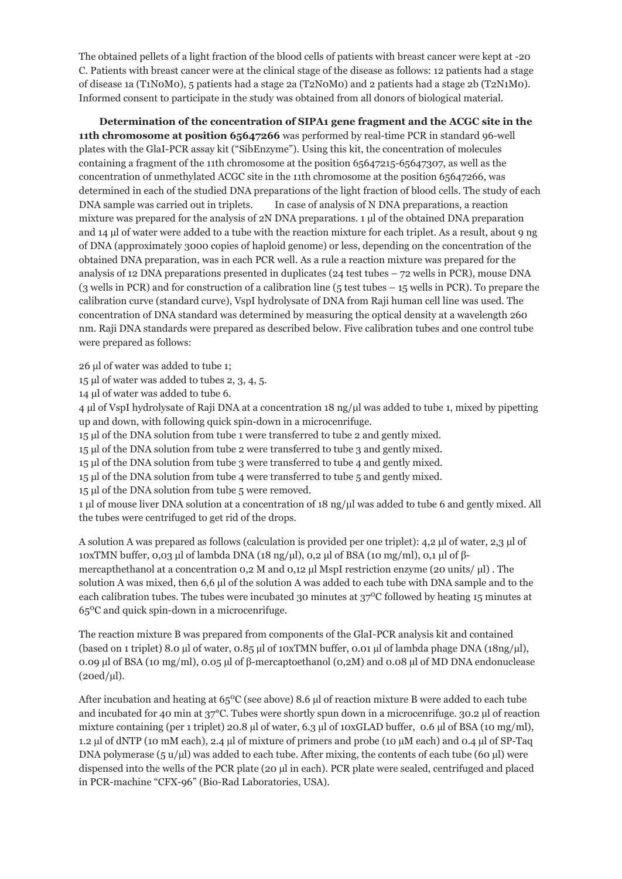The obtained pellets of a light fraction of the blood cells of patients with breast cancer were kept at -20 C. Patients with breast cancer were at the clinical stage of the disease as follows: 12 patients had a stage of disease 1a (T1N0M0), 5 patients had a stage 2a (T2N0M0) and 2 patients had a stage 2b (T2N1M0). Informed consent to participate in the study was obtained from all donors of biological material.

 **Determination of the concentration of SIPA1 gene fragment and the ACGC site in the 11th chromosome at position 65647266** was performed by real-time PCR in standard 96-well plates with the GlaI-PCR assay kit ("SibEnzyme"). Using this kit, the concentration of molecules containing a fragment of the 11th chromosome at the position 65647215-65647307, as well as the concentration of unmethylated ACGC site in the 11th chromosome at the position 65647266, was determined in each of the studied DNA preparations of the light fraction of blood cells. The study of each DNA sample was carried out in triplets. In case of analysis of N DNA preparations, a reaction mixture was prepared for the analysis of 2N DNA preparations. 1 μl of the obtained DNA preparation and 14 μl of water were added to a tube with the reaction mixture for each triplet. As a result, about 9 ng of DNA (approximately 3000 copies of haploid genome) or less, depending on the concentration of the obtained DNA preparation, was in each PCR well. As a rule a reaction mixture was prepared for the analysis of 12 DNA preparations presented in duplicates ( $24$  test tubes  $-72$  wells in PCR), mouse DNA (3 wells in PCR) and for construction of a calibration line (5 test tubes – 15 wells in PCR). To prepare the calibration curve (standard curve), VspI hydrolysate of DNA from Raji human cell line was used. The concentration of DNA standard was determined by measuring the optical density at a wavelength 260 nm. Raji DNA standards were prepared as described below. Five calibration tubes and one control tube were prepared as follows:

26 μl of water was added to tube 1;

15 μl of water was added to tubes 2, 3, 4, 5.

14 μl of water was added to tube 6.

4 μl of VspI hydrolysate of Raji DNA at a concentration 18 ng/μl was added to tube 1, mixed by pipetting up and down, with following quick spin-down in a microcenrifuge.

15 μl of the DNA solution from tube 1 were transferred to tube 2 and gently mixed.

15 μl of the DNA solution from tube 2 were transferred to tube 3 and gently mixed.

15 μl of the DNA solution from tube 3 were transferred to tube 4 and gently mixed.

15 μl of the DNA solution from tube 4 were transferred to tube 5 and gently mixed.

15 μl of the DNA solution from tube 5 were removed.

1 μl of mouse liver DNA solution at a concentration of 18 ng/μl was added to tube 6 and gently mixed. All the tubes were centrifuged to get rid of the drops.

A solution A was prepared as follows (calculation is provided per one triplet): 4,2 μl of water, 2,3 μl of 10xTMN buffer, 0,03 μl of lambda DNA (18 ng/μl), 0,2 μl of BSA (10 mg/ml), 0,1 μl of βmercapthethanol at a concentration 0,2 M and 0,12 μl MspI restriction enzyme (20 units/ μl) . The solution A was mixed, then 6,6 μl of the solution A was added to each tube with DNA sample and to the each calibration tubes. The tubes were incubated 30 minutes at  $37^{\circ}$ C followed by heating 15 minutes at 65 C and quick spin-down in a microcenrifuge. 0

The reaction mixture B was prepared from components of the GlaI-PCR analysis kit and contained (based on 1 triplet) 8.0 µl of water, 0.85 µl of 10xTMN buffer, 0.01 µl of lambda phage DNA (18ng/µl), 0.09 µl of BSA (10 mg/ml), 0.05 µl of β-mercaptoethanol (0,2M) and 0.08 µl of MD DNA endonuclease  $(20ed/\mu l).$ 

After incubation and heating at  $65^{\circ}$ C (see above) 8.6 µl of reaction mixture B were added to each tube and incubated for 40 min at  $37^{\circ}$ C. Tubes were shortly spun down in a microcenrifuge.  $30.2 \mu$  of reaction mixture containing (per 1 triplet) 20.8 µl of water, 6.3 µl of 10xGLAD buffer, 0.6 µl of BSA (10 mg/ml), 1.2 µl of dNTP (10 mM each), 2.4 µl of mixture of primers and probe (10 µM each) and 0.4 µl of SP-Taq DNA polymerase (5  $u/\mu$ ) was added to each tube. After mixing, the contents of each tube (60  $\mu$ ) were dispensed into the wells of the PCR plate (20 µl in each). PCR plate were sealed, centrifuged and placed in PCR-machine "CFX-96" (Bio-Rad Laboratories, USA).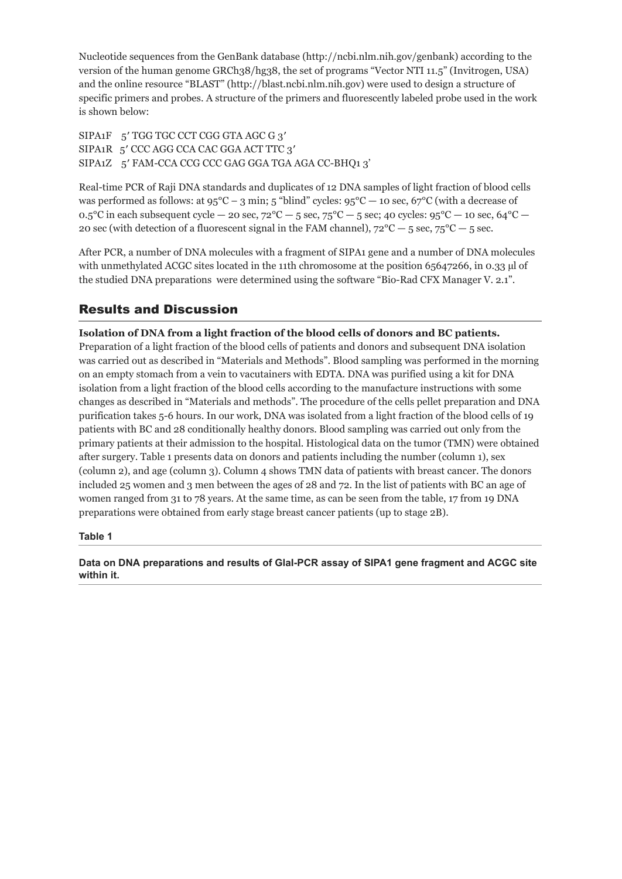Nucleotide sequences from the GenBank database [\(http://ncbi.nlm.nih.gov/genbank\)](http://ncbi.nlm.nih.gov/genbank) according to the version of the human genome GRCh38/hg38, the set of programs "Vector NTI 11.5" (Invitrogen, USA) and the online resource "BLAST" [\(http://blast.ncbi.nlm.nih.gov\)](http://blast.ncbi.nlm.nih.gov/) were used to design a structure of specific primers and probes. A structure of the primers and fluorescently labeled probe used in the work is shown below:

SIPA1F 5' TGG TGC CCT CGG GTA AGC G 3' SIPA1R 5′ CCC AGG CCA CAC GGA ACT TTC 3′ SIPA1Z 5′ FAM-CCA CCG CCC GAG GGA TGA AGA CC-BHQ1 3'

Real-time PCR of Raji DNA standards and duplicates of 12 DNA samples of light fraction of blood cells was performed as follows: at  $95^{\circ}$ C – 3 min; 5 "blind" cycles:  $95^{\circ}$ C – 10 sec,  $67^{\circ}$ C (with a decrease of 0.5°C in each subsequent cycle — 20 sec,  $72^{\circ}\text{C} - 5$  sec,  $75^{\circ}\text{C} - 5$  sec; 40 cycles:  $95^{\circ}\text{C} - 10$  sec,  $64^{\circ}\text{C} -$ 20 sec (with detection of a fluorescent signal in the FAM channel),  $72^{\circ}C - 5$  sec,  $75^{\circ}C - 5$  sec.

After PCR, a number of DNA molecules with a fragment of SIPA1 gene and a number of DNA molecules with unmethylated ACGC sites located in the 11th chromosome at the position 65647266, in 0.33 µ of the studied DNA preparations were determined using the software "Bio-Rad CFX Manager V. 2.1".

# Results and Discussion

#### **Isolation of DNA from a light fraction of the blood cells of donors and BC patients.**

Preparation of a light fraction of the blood cells of patients and donors and subsequent DNA isolation was carried out as described in "Materials and Methods". Blood sampling was performed in the morning on an empty stomach from a vein to vacutainers with EDTA. DNA was purified using a kit for DNA isolation from a light fraction of the blood cells according to the manufacture instructions with some changes as described in "Materials and methods". The procedure of the cells pellet preparation and DNA purification takes 5-6 hours. In our work, DNA was isolated from a light fraction of the blood cells of 19 patients with BC and 28 conditionally healthy donors. Blood sampling was carried out only from the primary patients at their admission to the hospital. Histological data on the tumor (TMN) were obtained after surgery. Table 1 presents data on donors and patients including the number (column 1), sex (column 2), and age (column 3). Column 4 shows TMN data of patients with breast cancer. The donors included 25 women and 3 men between the ages of 28 and 72. In the list of patients with BC an age of women ranged from 31 to 78 years. At the same time, as can be seen from the table, 17 from 19 DNA preparations were obtained from early stage breast cancer patients (up to stage 2B).

#### **Table 1**

**Data on DNA preparations and results of GlaI-PCR assay of SIPA1 gene fragment and ACGC site within it.**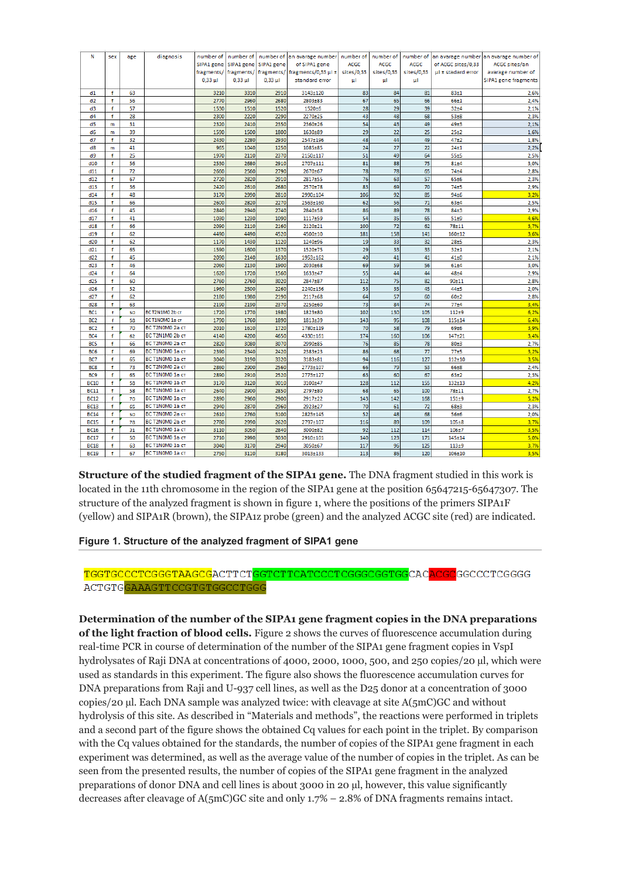| N                                  | sex          | age      | diagnosis                         | number of    | number of    | number of    | an avarage number        | number of   | number of   | number of   | an avarage number  | an avarage number of |
|------------------------------------|--------------|----------|-----------------------------------|--------------|--------------|--------------|--------------------------|-------------|-------------|-------------|--------------------|----------------------|
|                                    |              |          |                                   | SIPA1 gene   | SIPA1 gene   | SIPA1 gene   | of SIPA1 gene            | <b>ACGC</b> | <b>ACGC</b> | <b>ACGC</b> | of ACGC sites/0,33 | ACGC sites/an        |
|                                    |              |          |                                   | fragments/   | fragments/   | fragments/   | fragments/0,33 $\mu$ l ± | sites/0,33  | sites/0,33  | sites/0,33  | µI ± stadard error | avarage number of    |
|                                    |              |          |                                   | $0.33 \mu$   | $0.33 \mu$   | $0.33 \mu$   | standard error           | μI          | μI          | μI          |                    | SIPA1 gene fragments |
|                                    |              |          |                                   |              |              |              |                          |             |             |             |                    |                      |
| d1                                 | f            | 63       |                                   | 3210         | 3310         | 2910         | 3143±120                 | 83          | 84          | 81          | 83±1               | 2,6%                 |
| d2                                 | f<br>f       | 56<br>57 |                                   | 2770<br>1530 | 2960<br>1510 | 2680<br>1520 | 2803±83<br>1520±6        | 67<br>28    | 65<br>29    | 66<br>39    | 66±1<br>32±4       | 2,4%<br>2,1%         |
| d3<br>d4                           | f            | 28       |                                   | 2300         | 2220         | 2290         | 2270±25                  | 43          | 48          | 68          | 53±8               | 2,3%                 |
| d5                                 | m            | 31       |                                   | 2320         | 2410         | 2350         | 2360±26                  | 54          | 43          | 49          | 49±3               | 2,1%                 |
| d6                                 | m            | 39       |                                   | 1590         | 1500         | 1800         | 1630±89                  | 29          | 22          | 25          | $25 + 2$           | 1,6%                 |
| d7                                 | f            | 32       |                                   | 2430         | 2280         | 2930         | 2547±196                 | 48          | 44          | 49          | $47 + 2$           | 1,8%                 |
| d8                                 | m            | 41       |                                   | 965          | 1040         | 1250         | 1085±85                  | 24          | 27          | 22          | 24±1               | 2,2%                 |
| d9                                 | Ŧ            | 25       |                                   | 1970         | 2110         | 2370         | 2150±117                 | 51          | 49          | 64          | 55±5               | 2,5%                 |
| d10                                | f            | 56       |                                   | 2530         | 2680         | 2910         | 2707±111                 | 81          | 88          | 75          | 81±4               | 3,0%                 |
| d11                                | f            | 72       |                                   | 2660         | 2560         | 2790         | 2670±67                  | 78          | 78          | 65          | $74 + 4$           | 2,8%                 |
| d12                                | f            | 67       |                                   | 2720         | 2820         | 2910         | 2817±55                  | 76          | 63          | 57          | 65±6               | 2,3%                 |
| d13                                | f            | 36       |                                   | 2420         | 2610         | 2680         | 2570±78                  | 83          | 69          | 70          | 74±5               | 2,9%                 |
| d14                                | f            | 48       |                                   | 3170         | 2990         | 2810         | 2990±104                 | 106         | 92          | 85          | 94±6               | 3,2%                 |
| d15                                | f            | 66       |                                   | 2600         | 2820         | 2270         | 2563±160                 | 62          | 56          | 71          | 63±4               | 2,5%                 |
| d16                                | f            | 45       |                                   | 2840         | 2940         | 2740         | 2840±58                  | 86          | 89          | 78          | 84 <sub>±3</sub>   | 2,9%                 |
| d17                                | f            | 41       |                                   | 1030         | 1230         | 1090         | 1117±59                  | 54          | 35          | 65          | 51±9               | 4,6%                 |
| d18                                | f            | 66       |                                   | 2090         | 2110         | 2160         | 2120±21                  | 100         | 72          | 62          | 78±11              | 3,7%                 |
| d19                                | f            | 62       |                                   | 4490         | 4490         | 4520         | 4500±10                  | 181         | 158         | 141         | $160 + 12$         | 3,6%                 |
| d20                                | f            | 62       |                                   | 1170         | 1430         | 1120         | 1240±96                  | 19          | 33          | 32          | $28 + 5$           | 2,3%                 |
| d21                                | f            | 65       |                                   | 1590         | 1600         | 1370         | 1520±75                  | 29          | 33          | 33          | $32+1$             | 2,1%                 |
| d22                                | f            | 45       |                                   | 2090         | 2140         | 1630         | 1953±162                 | 40          | 41          | 41          | $41\pm0$           | 2,1%                 |
| d23                                | f            | 46       |                                   | 2060         | 2130         | 1900         | 2030±68                  | 69          | 59          | 56          | 61±4               | 3,0%                 |
| d24                                | f            | 64       |                                   | 1620         | 1720         | 1560         | 1633±47                  | 55          | 44          | 44          | $48 + 4$           | 2,9%                 |
| d25                                | f            | 60       |                                   | 2760         | 2760         | 3020         | 2847±87                  | 112         | 75          | 82          | 90±11              | 2,8%                 |
| d26                                | f            | 52       |                                   | 1960         | 2500         | 2260         | 2240±156                 | 53          | 35          | 45          | 44±5               | 2,0%                 |
| d27                                | f            | 62       |                                   | 2180         | 1980         | 2190         | 2117±68                  | 64          | 57          | 60          | 60±2               | 2,8%                 |
| d28                                | f            | 63       |                                   | 2190         | 2190         | 2370         | 2250±60                  | 73          | 84<br>130   | 74          | $77 + 4$           | 3,4%                 |
| BC <sub>1</sub>                    | $\mathbf{f}$ | 50       | BCT2N1MO2bcT                      | 1720<br>1790 | 1770<br>1760 | 1980         | 1823±80                  | 102<br>143  | 95          | 105         | $112 + 9$          | 6,2%<br>6,4%         |
| BC <sub>2</sub><br>BC <sub>2</sub> | f<br>f       | 58<br>70 | BCT1NOMO 1a cT<br>BC T2N0M0 2a CT | 2010         | 1610         | 1890<br>1720 | 1813±39<br>1780±119      | 70          | 58          | 108<br>79   | 115±14<br>69±6     |                      |
| BC4                                | f            | 62       | BC T2N1M0 2b CT                   | 4140         | 4200         | 4650         | 4330±161                 | 174         | 160         | 106         | 147±21             | 3,9%<br>3,4%         |
| BC5                                | f            | 66       | BC T2N0M0 2a CT                   | 2820         | 3080         | 3070         | 2990±85                  | 76          | 85          | 78          | 80±3               | 2,7%                 |
| BC <sub>6</sub>                    | f            | 69       | BC T1N0M0 1a CT                   | 2390         | 2340         | 2420         | 2383±23                  | 86          | 68          | 77          | 77±5               | 3,2%                 |
| BC7                                | f            | 65       | BC T1N0M0 1a cT                   | 3040         | 3190         | 3320         | 3183±81                  | 94          | 116         | 127         | $112 + 10$         | 3,5%                 |
| BC <sub>8</sub>                    | f            | 73       | BC T2N0M0 2a cT                   | 2860         | 2900         | 2560         | 2773±107                 | 66          | 79          | 53          | 66±8               | 2,4%                 |
| BC9                                | f            | 65       | BC T1N0M0 1a CT                   | 2890         | 2910         | 2520         | 2773±127                 | 63          | 60          | 67          | $63+2$             | 2,3%                 |
| <b>BC10</b>                        | f            | 58       | BC T1N0M0 1a cT                   | 3170         | 3120         | 3010         | 3100±47                  | 128         | 112         | 155         | $132 + 13$         | 4,2%                 |
| <b>BC11</b>                        | f            | 58       | BC T1N0M0 1a cT                   | 2640         | 2900         | 2850         | 2797±80                  | 68          | 65          | 100         | 78±11              | 2,7%                 |
| <b>BC12</b>                        | f            | 70       | BC T1N0M0 1a cT                   | 2890         | 2960         | 2900         | 2917±22                  | 143         | 142         | 168         | $151 + 9$          | 5,2%                 |
| <b>BC13</b>                        | f            | 65       | BC T1N0M0 1a cT                   | 2940         | 2870         | 2960         | 2923±27                  | 70          | 61          | 72          | 68±3               | 2,3%                 |
| <b>BC14</b>                        | f            | 50       | BC T2N0M0 2a cT                   | 2610         | 2760         | 3100         | 2823±145                 | 52          | 48          | 68          | 56±6               | 2,0%                 |
| <b>BC15</b>                        | f            | 78       | BC T2N0M0 2a cT                   | 2780         | 2990         | 2620         | 2797±107                 | 116         | 89          | 109         | $105 + 8$          | 3,7%                 |
| <b>BC16</b>                        | f            | 31       | BC T1N0M0 1a CT                   | 3110         | 3050         | 2840         | 3000±82                  | 92          | 112         | 114         | 106±7              | 3,5%                 |
| <b>BC17</b>                        | f            | 50       | BC T1N0M0 1a CT                   | 2710         | 2990         | 3030         | 2910±101                 | 140         | 123         | 171         | $145 + 14$         | 5,0%                 |
| <b>BC18</b>                        | Ŧ            | 63       | BC T1N0M0 1a cT                   | 3040         | 3170         | 2940         | 3050±67                  | 117         | 96          | 125         | $113 + 9$          | 3,7%                 |
| <b>BC19</b>                        | f            | 67       | BC T1N0M0 1a cT                   | 2750         | 3110         | 3180         | 3013±133                 | 113         | 86          | 120         | $106 + 10$         | 3,5%                 |

**Structure of the studied fragment of the SIPA1 gene.** The DNA fragment studied in this work is located in the 11th chromosome in the region of the SIPA1 gene at the position 65647215-65647307. The structure of the analyzed fragment is shown in figure 1, where the positions of the primers SIPA1F (yellow) and SIPA1R (brown), the SIPA1z probe (green) and the analyzed ACGC site (red) are indicated.

#### **Figure 1. Structure of the analyzed fragment of SIPA1 gene**

#### TGGTGCCCTCGGGTAAGCGACTTCTGGTCTTCATCCCTCGGGCGGTGGCACACGCGCCCTCGGGG ACTGTGGAAAGTTCCGTGTGGCCTGGG

**Determination of the number of the SIPA1 gene fragment copies in the DNA preparations of the light fraction of blood cells.** Figure 2 shows the curves of fluorescence accumulation during real-time PCR in course of determination of the number of the SIPA1 gene fragment copies in VspI hydrolysates of Raji DNA at concentrations of 4000, 2000, 1000, 500, and 250 copies/20 µl, which were used as standards in this experiment. The figure also shows the fluorescence accumulation curves for DNA preparations from Raji and U-937 cell lines, as well as the D25 donor at a concentration of 3000 copies/20 µl. Each DNA sample was analyzed twice: with cleavage at site A(5mC)GC and without hydrolysis of this site. As described in "Materials and methods", the reactions were performed in triplets and a second part of the figure shows the obtained Cq values for each point in the triplet. By comparison with the Cq values obtained for the standards, the number of copies of the SIPA1 gene fragment in each experiment was determined, as well as the average value of the number of copies in the triplet. As can be seen from the presented results, the number of copies of the SIPA1 gene fragment in the analyzed preparations of donor DNA and cell lines is about 3000 in 20 µl, however, this value significantly decreases after cleavage of A(5mC)GC site and only 1.7% – 2.8% of DNA fragments remains intact.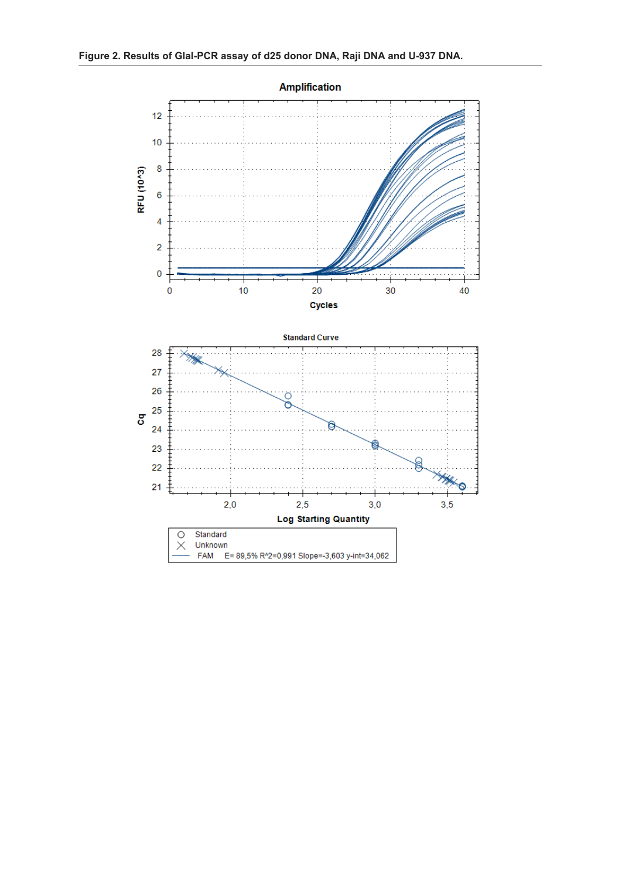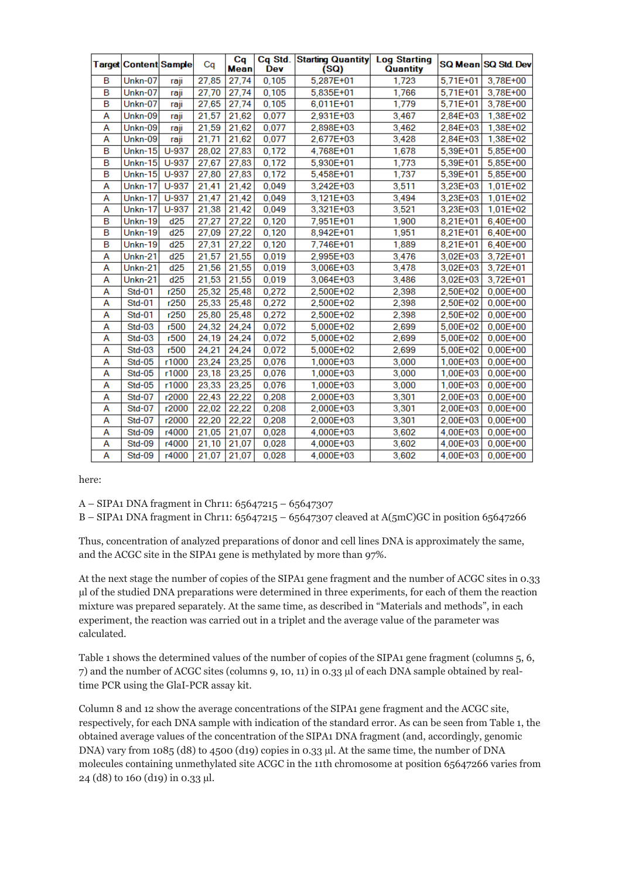|   | Target Content Sample | Cq      |       | Cq<br><b>Mean</b> | <b>Dev</b> | Cq Std. Starting Quantity<br>(SQ) | <b>Log Starting</b><br><b>Quantity</b> |              | SQ Mean SQ Std Dev |
|---|-----------------------|---------|-------|-------------------|------------|-----------------------------------|----------------------------------------|--------------|--------------------|
| B | Unkn-07               | raji    | 27,85 | 27,74             | 0,105      | 5,287E+01                         | 1,723                                  | $5,71E+01$   | 3,78E+00           |
| в | Unkn-07               | raji    | 27,70 | 27,74             | 0.105      | 5,835E+01                         | 1,766                                  | $5.71E + 01$ | 3.78E+00           |
| в | Unkn-07               | raji    | 27,65 | 27,74             | 0,105      | $6,011E+01$                       | 1,779                                  | 5,71E+01     | 3,78E+00           |
| А | Unkn-09               | raji    | 21,57 | 21,62             | 0,077      | 2,931E+03                         | 3,467                                  | 2,84E+03     | 1,38E+02           |
| А | Unkn-09               | raji    | 21,59 | 21.62             | 0.077      | 2.898E+03                         | 3,462                                  | 2.84E+03     | 1.38E+02           |
| A | Unkn-09               | raji    | 21,71 | 21,62             | 0,077      | 2.677E+03                         | 3,428                                  | 2,84E+03     | 1.38E+02           |
| B | Un $kn-15$            | $U-937$ | 28,02 | 27,83             | 0,172      | 4.768E+01                         | 1,678                                  | 5,39E+01     | 5,85E+00           |
| B | Unkn-15               | $U-937$ | 27,67 | 27,83             | 0,172      | 5.930E+01                         | 1,773                                  | $5.39E + 01$ | 5.85E+00           |
| B | <b>Unkn-15</b>        | $U-937$ | 27,80 | 27,83             | 0.172      | 5.458E+01                         | 1.737                                  | $5.39E + 01$ | 5.85E+00           |
| А | <b>Unkn-17</b>        | $U-937$ | 21,41 | 21,42             | 0,049      | 3,242E+03                         | 3,511                                  | 3,23E+03     | $1,01E+02$         |
| А | Unkn-17               | $U-937$ | 21.47 | 21.42             | 0,049      | 3.121E+03                         | 3.494                                  | 3.23E+03     | $1.01E + 02$       |
| A | <b>Unkn-17</b>        | $U-937$ | 21,38 | 21,42             | 0.049      | 3,321E+03                         | 3,521                                  | 3,23E+03     | $1,01E+02$         |
| B | <b>Unkn-19</b>        | d25     | 27,27 | 27,22             | 0,120      | 7.951E+01                         | 1,900                                  | $8.21E + 01$ | 6.40E+00           |
| B | Unkn-19               | d25     | 27,09 | 27,22             | 0,120      | 8,942E+01                         | 1,951                                  | 8,21E+01     | 6,40E+00           |
| B | Unkn-19               | d25     | 27,31 | 27,22             | 0,120      | 7.746E+01                         | 1,889                                  | $8,21E+01$   | 6.40E+00           |
| А | Unkn-21               | d25     | 21.57 | 21.55             | 0.019      | 2.995E+03                         | 3,476                                  | $3.02E + 03$ | $3.72E + 01$       |
| Α | Unkn-21               | d25     | 21,56 | 21,55             | 0,019      | 3,006E+03                         | 3,478                                  | $3,02E+03$   | $3,72E+01$         |
| А | <b>Unkn-21</b>        | d25     | 21.53 | 21.55             | 0,019      | 3.064E+03                         | 3,486                                  | $3.02E + 03$ | $3.72E + 01$       |
| А | Std-01                | r250    | 25,32 | 25,48             | 0,272      | 2.500E+02                         | 2,398                                  | 2,50E+02     | $0.00E + 00$       |
| А | Std-01                | r250    | 25,33 | 25,48             | 0,272      | 2,500E+02                         | 2,398                                  | 2,50E+02     | $0.00E + 00$       |
| А | Std-01                | r250    | 25,80 | 25,48             | 0,272      | 2.500E+02                         | 2.398                                  | 2,50E+02     | $0.00E + 00$       |
| А | $Std-03$              | r500    | 24,32 | 24,24             | 0,072      | 5.000E+02                         | 2,699                                  | 5,00E+02     | $0.00E + 00$       |
| А | $Std-03$              | r500    | 24,19 | 24,24             | 0,072      | 5,000E+02                         | 2,699                                  | 5,00E+02     | $0.00E + 00$       |
| А | $Std-03$              | r500    | 24,21 | 24,24             | 0,072      | 5,000E+02                         | 2,699                                  | 5,00E+02     | $0.00E + 00$       |
| А | <b>Std-05</b>         | r1000   | 23.24 | 23.25             | 0.076      | 1.000E+03                         | 3.000                                  | 1.00E+03     | $0.00E + 00$       |
| А | <b>Std-05</b>         | r1000   | 23,18 | 23,25             | 0,076      | 1,000E+03                         | 3,000                                  | 1.00E+03     | $0.00E + 00$       |
| А | <b>Std-05</b>         | r1000   | 23,33 | 23,25             | 0,076      | 1,000E+03                         | 3,000                                  | $1,00E+03$   | $0,00E+00$         |
| А | <b>Std-07</b>         | r2000   | 22,43 | 22.22             | 0.208      | 2.000E+03                         | 3,301                                  | 2,00E+03     | $0.00E + 00$       |
| А | Std-07                | r2000   | 22,02 | 22,22             | 0,208      | 2,000E+03                         | 3,301                                  | 2,00E+03     | $0.00E + 00$       |
| Α | <b>Std-07</b>         | r2000   | 22,20 | 22,22             | 0,208      | 2,000E+03                         | 3,301                                  | 2,00E+03     | $0,00E+00$         |
| A | Std-09                | r4000   | 21.05 | 21,07             | 0.028      | 4.000E+03                         | 3.602                                  | 4.00E+03     | $0.00E + 00$       |
| А | Std-09                | r4000   | 21,10 | 21,07             | 0,028      | 4,000E+03                         | 3,602                                  | 4,00E+03     | $0,00E+00$         |
| А | Std-09                | r4000   | 21,07 | 21,07             | 0,028      | 4.000E+03                         | 3,602                                  | 4.00E+03     | $0.00E + 00$       |

here:

A – SIPA1 DNA fragment in Chr11: 65647215 – 65647307

B – SIPA1 DNA fragment in Chr11: 65647215 – 65647307 cleaved at A(5mC)GC in position 65647266

Thus, concentration of analyzed preparations of donor and cell lines DNA is approximately the same, and the ACGC site in the SIPA1 gene is methylated by more than 97%.

At the next stage the number of copies of the SIPA1 gene fragment and the number of ACGC sites in 0.33 µl of the studied DNA preparations were determined in three experiments, for each of them the reaction mixture was prepared separately. At the same time, as described in "Materials and methods", in each experiment, the reaction was carried out in a triplet and the average value of the parameter was calculated.

Table 1 shows the determined values of the number of copies of the SIPA1 gene fragment (columns 5, 6, 7) and the number of ACGC sites (columns 9, 10, 11) in 0.33 µl of each DNA sample obtained by realtime PCR using the GlaI-PCR assay kit.

Column 8 and 12 show the average concentrations of the SIPA1 gene fragment and the ACGC site, respectively, for each DNA sample with indication of the standard error. As can be seen from Table 1, the obtained average values of the concentration of the SIPA1 DNA fragment (and, accordingly, genomic DNA) vary from 1085 (d8) to 4500 (d19) copies in 0.33 µl. At the same time, the number of DNA molecules containing unmethylated site ACGC in the 11th chromosome at position 65647266 varies from 24 (d8) to 160 (d19) in 0.33 µl.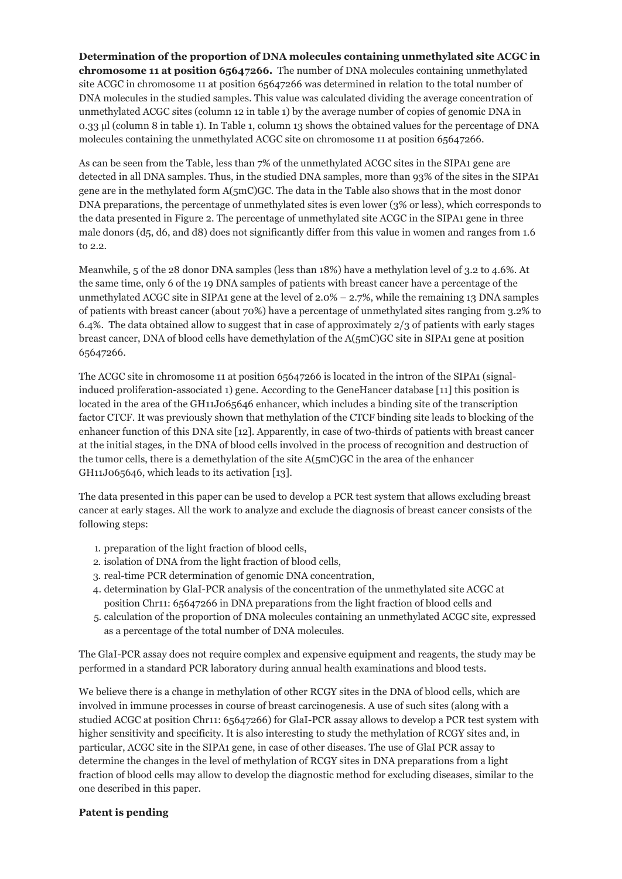**Determination of the proportion of DNA molecules containing unmethylated site ACGC in chromosome 11 at position 65647266.** The number of DNA molecules containing unmethylated site ACGC in chromosome 11 at position 65647266 was determined in relation to the total number of DNA molecules in the studied samples. This value was calculated dividing the average concentration of unmethylated ACGC sites (column 12 in table 1) by the average number of copies of genomic DNA in 0.33 µl (column 8 in table 1). In Table 1, column 13 shows the obtained values for the percentage of DNA molecules containing the unmethylated ACGC site on chromosome 11 at position 65647266.

As can be seen from the Table, less than 7% of the unmethylated ACGC sites in the SIPA1 gene are detected in all DNA samples. Thus, in the studied DNA samples, more than 93% of the sites in the SIPA1 gene are in the methylated form A(5mC)GC. The data in the Table also shows that in the most donor DNA preparations, the percentage of unmethylated sites is even lower (3% or less), which corresponds to the data presented in Figure 2. The percentage of unmethylated site ACGC in the SIPA1 gene in three male donors (d5, d6, and d8) does not significantly differ from this value in women and ranges from 1.6 to 2.2.

Meanwhile, 5 of the 28 donor DNA samples (less than 18%) have a methylation level of 3.2 to 4.6%. At the same time, only 6 of the 19 DNA samples of patients with breast cancer have a percentage of the unmethylated ACGC site in SIPA1 gene at the level of  $2.0\% - 2.7\%$ , while the remaining 13 DNA samples of patients with breast cancer (about 70%) have a percentage of unmethylated sites ranging from 3.2% to 6.4%. The data obtained allow to suggest that in case of approximately 2/3 of patients with early stages breast cancer, DNA of blood cells have demethylation of the A(5mC)GC site in SIPA1 gene at position 65647266.

The ACGC site in chromosome 11 at position 65647266 is located in the intron of the SIPA1 (signalinduced proliferation-associated 1) gene. According to the GeneHancer database [11] this position is located in the area of the GH11J065646 enhancer, which includes a binding site of the transcription factor CTCF. It was previously shown that methylation of the CTCF binding site leads to blocking of the enhancer function of this DNA site [12]. Apparently, in case of two-thirds of patients with breast cancer at the initial stages, in the DNA of blood cells involved in the process of recognition and destruction of the tumor cells, there is a demethylation of the site  $A(5mC)$ GC in the area of the enhancer GH11J065646, which leads to its activation [13].

The data presented in this paper can be used to develop a PCR test system that allows excluding breast cancer at early stages. All the work to analyze and exclude the diagnosis of breast cancer consists of the following steps:

- 1. preparation of the light fraction of blood cells,
- 2. isolation of DNA from the light fraction of blood cells,
- 3. real-time PCR determination of genomic DNA concentration,
- 4. determination by GlaI-PCR analysis of the concentration of the unmethylated site ACGC at position Chr11: 65647266 in DNA preparations from the light fraction of blood cells and
- 5. calculation of the proportion of DNA molecules containing an unmethylated ACGC site, expressed as a percentage of the total number of DNA molecules.

The GlaI-PCR assay does not require complex and expensive equipment and reagents, the study may be performed in a standard PCR laboratory during annual health examinations and blood tests.

We believe there is a change in methylation of other RCGY sites in the DNA of blood cells, which are involved in immune processes in course of breast carcinogenesis. A use of such sites (along with a studied ACGC at position Chr11: 65647266) for GlaI-PCR assay allows to develop a PCR test system with higher sensitivity and specificity. It is also interesting to study the methylation of RCGY sites and, in particular, ACGC site in the SIPA1 gene, in case of other diseases. The use of GlaI PCR assay to determine the changes in the level of methylation of RCGY sites in DNA preparations from a light fraction of blood cells may allow to develop the diagnostic method for excluding diseases, similar to the one described in this paper.

#### **Patent is pending**